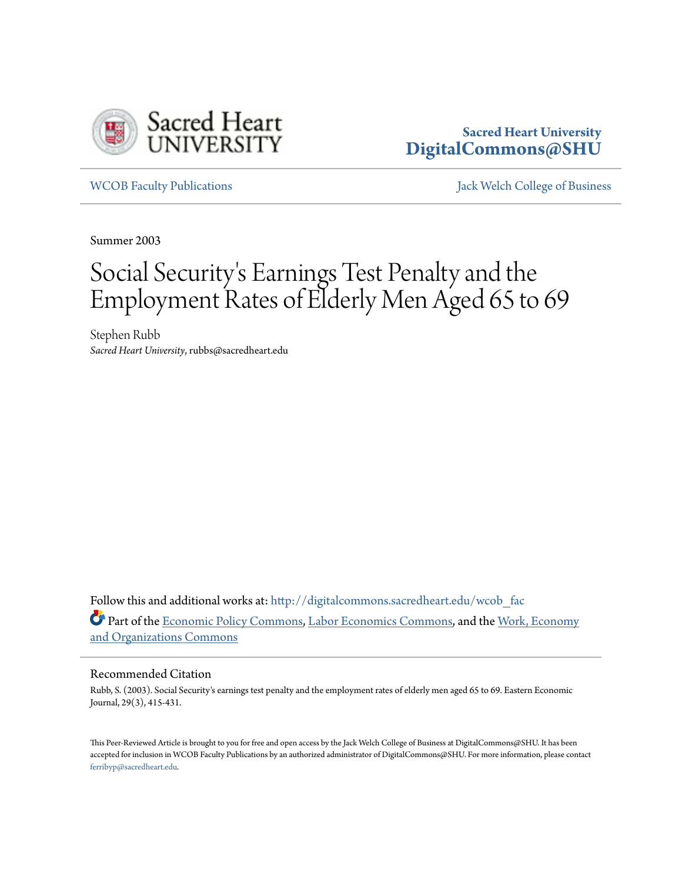

# **Sacred Heart University [DigitalCommons@SHU](http://digitalcommons.sacredheart.edu?utm_source=digitalcommons.sacredheart.edu%2Fwcob_fac%2F146&utm_medium=PDF&utm_campaign=PDFCoverPages)**

[WCOB Faculty Publications](http://digitalcommons.sacredheart.edu/wcob_fac?utm_source=digitalcommons.sacredheart.edu%2Fwcob_fac%2F146&utm_medium=PDF&utm_campaign=PDFCoverPages) [Jack Welch College of Business](http://digitalcommons.sacredheart.edu/wcob?utm_source=digitalcommons.sacredheart.edu%2Fwcob_fac%2F146&utm_medium=PDF&utm_campaign=PDFCoverPages)

Summer 2003

# Social Security 's Earnings Test Penalty and the Employment Rates of Elderly Men Aged 65 to 69

Stephen Rubb *Sacred Heart University*, rubbs@sacredheart.edu

Follow this and additional works at: [http://digitalcommons.sacredheart.edu/wcob\\_fac](http://digitalcommons.sacredheart.edu/wcob_fac?utm_source=digitalcommons.sacredheart.edu%2Fwcob_fac%2F146&utm_medium=PDF&utm_campaign=PDFCoverPages) Part of the [Economic Policy Commons,](http://network.bepress.com/hgg/discipline/1025?utm_source=digitalcommons.sacredheart.edu%2Fwcob_fac%2F146&utm_medium=PDF&utm_campaign=PDFCoverPages) [Labor Economics Commons](http://network.bepress.com/hgg/discipline/349?utm_source=digitalcommons.sacredheart.edu%2Fwcob_fac%2F146&utm_medium=PDF&utm_campaign=PDFCoverPages), and the [Work, Economy](http://network.bepress.com/hgg/discipline/433?utm_source=digitalcommons.sacredheart.edu%2Fwcob_fac%2F146&utm_medium=PDF&utm_campaign=PDFCoverPages) [and Organizations Commons](http://network.bepress.com/hgg/discipline/433?utm_source=digitalcommons.sacredheart.edu%2Fwcob_fac%2F146&utm_medium=PDF&utm_campaign=PDFCoverPages)

# Recommended Citation

Rubb, S. (2003). Social Security's earnings test penalty and the employment rates of elderly men aged 65 to 69. Eastern Economic Journal, 29(3), 415-431.

This Peer-Reviewed Article is brought to you for free and open access by the Jack Welch College of Business at DigitalCommons@SHU. It has been accepted for inclusion in WCOB Faculty Publications by an authorized administrator of DigitalCommons@SHU. For more information, please contact [ferribyp@sacredheart.edu](mailto:ferribyp@sacredheart.edu).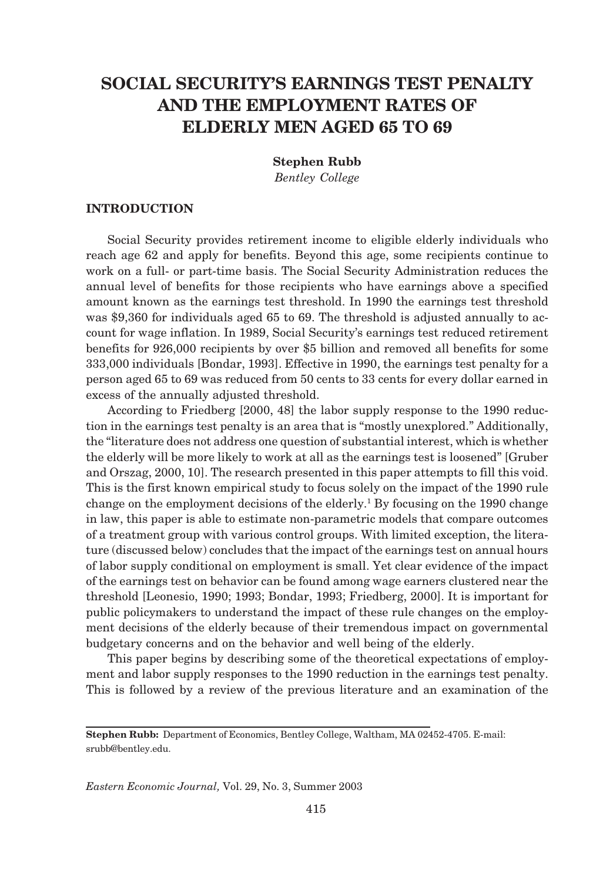# **SOCIAL SECURITY'S EARNINGS TEST PENALTY AND THE EMPLOYMENT RATES OF ELDERLY MEN AGED 65 TO 69**

**Stephen Rubb** *Bentley College*

# **INTRODUCTION**

Social Security provides retirement income to eligible elderly individuals who reach age 62 and apply for benefits. Beyond this age, some recipients continue to work on a full- or part-time basis. The Social Security Administration reduces the annual level of benefits for those recipients who have earnings above a specified amount known as the earnings test threshold. In 1990 the earnings test threshold was \$9,360 for individuals aged 65 to 69. The threshold is adjusted annually to account for wage inflation. In 1989, Social Security's earnings test reduced retirement benefits for 926,000 recipients by over \$5 billion and removed all benefits for some 333,000 individuals [Bondar, 1993]. Effective in 1990, the earnings test penalty for a person aged 65 to 69 was reduced from 50 cents to 33 cents for every dollar earned in excess of the annually adjusted threshold.

According to Friedberg [2000, 48] the labor supply response to the 1990 reduction in the earnings test penalty is an area that is "mostly unexplored." Additionally, the "literature does not address one question of substantial interest, which is whether the elderly will be more likely to work at all as the earnings test is loosened" [Gruber and Orszag, 2000, 10]. The research presented in this paper attempts to fill this void. This is the first known empirical study to focus solely on the impact of the 1990 rule change on the employment decisions of the elderly.<sup>1</sup> By focusing on the 1990 change in law, this paper is able to estimate non-parametric models that compare outcomes of a treatment group with various control groups. With limited exception, the literature (discussed below) concludes that the impact of the earnings test on annual hours of labor supply conditional on employment is small. Yet clear evidence of the impact of the earnings test on behavior can be found among wage earners clustered near the threshold [Leonesio, 1990; 1993; Bondar, 1993; Friedberg, 2000]. It is important for public policymakers to understand the impact of these rule changes on the employment decisions of the elderly because of their tremendous impact on governmental budgetary concerns and on the behavior and well being of the elderly.

This paper begins by describing some of the theoretical expectations of employment and labor supply responses to the 1990 reduction in the earnings test penalty. This is followed by a review of the previous literature and an examination of the

*Eastern Economic Journal,* Vol. 29, No. 3, Summer 2003

**Stephen Rubb:** Department of Economics, Bentley College, Waltham, MA 02452-4705. E-mail: srubb@bentley.edu.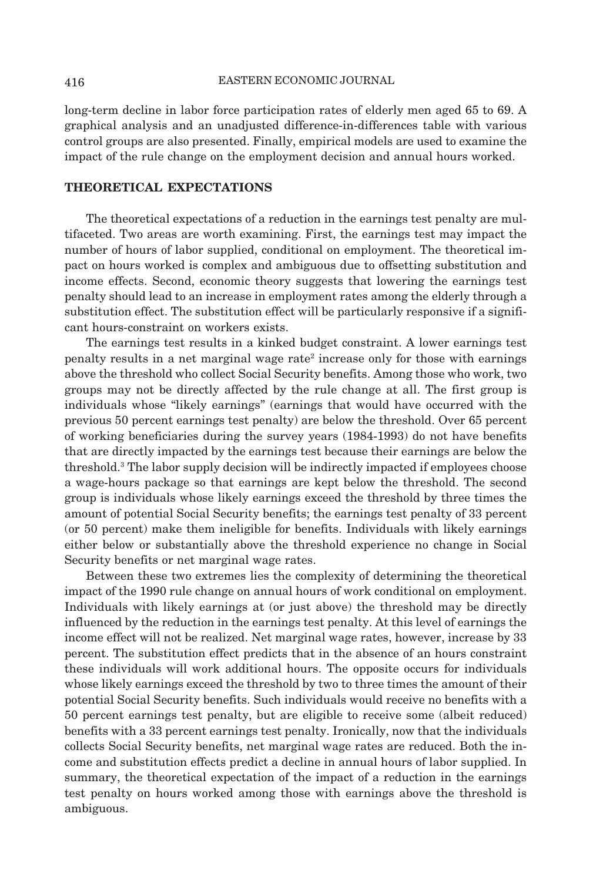long-term decline in labor force participation rates of elderly men aged 65 to 69. A graphical analysis and an unadjusted difference-in-differences table with various control groups are also presented. Finally, empirical models are used to examine the impact of the rule change on the employment decision and annual hours worked.

## **THEORETICAL EXPECTATIONS**

The theoretical expectations of a reduction in the earnings test penalty are multifaceted. Two areas are worth examining. First, the earnings test may impact the number of hours of labor supplied, conditional on employment. The theoretical impact on hours worked is complex and ambiguous due to offsetting substitution and income effects. Second, economic theory suggests that lowering the earnings test penalty should lead to an increase in employment rates among the elderly through a substitution effect. The substitution effect will be particularly responsive if a significant hours-constraint on workers exists.

The earnings test results in a kinked budget constraint. A lower earnings test penalty results in a net marginal wage rate<sup>2</sup> increase only for those with earnings above the threshold who collect Social Security benefits. Among those who work, two groups may not be directly affected by the rule change at all. The first group is individuals whose "likely earnings" (earnings that would have occurred with the previous 50 percent earnings test penalty) are below the threshold. Over 65 percent of working beneficiaries during the survey years (1984-1993) do not have benefits that are directly impacted by the earnings test because their earnings are below the threshold.3 The labor supply decision will be indirectly impacted if employees choose a wage-hours package so that earnings are kept below the threshold. The second group is individuals whose likely earnings exceed the threshold by three times the amount of potential Social Security benefits; the earnings test penalty of 33 percent (or 50 percent) make them ineligible for benefits. Individuals with likely earnings either below or substantially above the threshold experience no change in Social Security benefits or net marginal wage rates.

Between these two extremes lies the complexity of determining the theoretical impact of the 1990 rule change on annual hours of work conditional on employment. Individuals with likely earnings at (or just above) the threshold may be directly influenced by the reduction in the earnings test penalty. At this level of earnings the income effect will not be realized. Net marginal wage rates, however, increase by 33 percent. The substitution effect predicts that in the absence of an hours constraint these individuals will work additional hours. The opposite occurs for individuals whose likely earnings exceed the threshold by two to three times the amount of their potential Social Security benefits. Such individuals would receive no benefits with a 50 percent earnings test penalty, but are eligible to receive some (albeit reduced) benefits with a 33 percent earnings test penalty. Ironically, now that the individuals collects Social Security benefits, net marginal wage rates are reduced. Both the income and substitution effects predict a decline in annual hours of labor supplied. In summary, the theoretical expectation of the impact of a reduction in the earnings test penalty on hours worked among those with earnings above the threshold is ambiguous.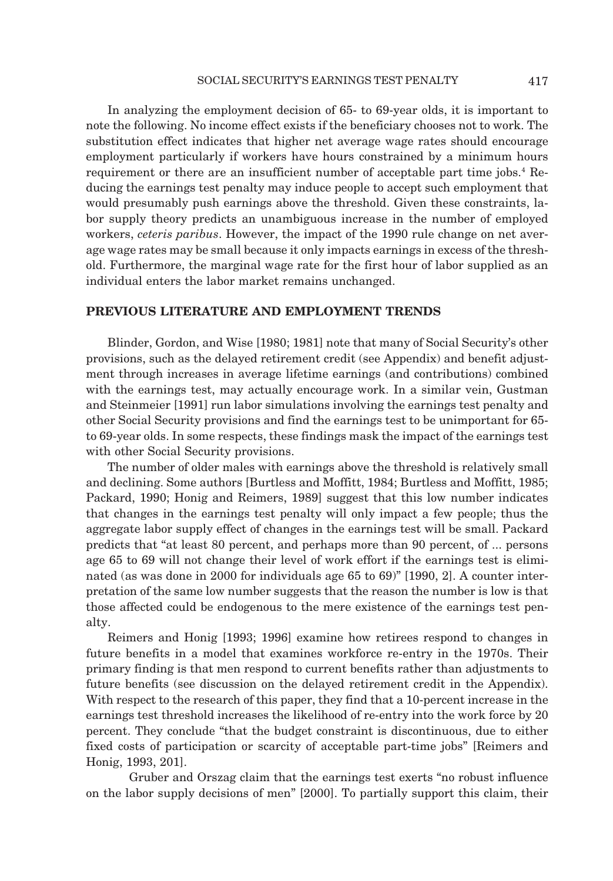In analyzing the employment decision of 65- to 69-year olds, it is important to note the following. No income effect exists if the beneficiary chooses not to work. The substitution effect indicates that higher net average wage rates should encourage employment particularly if workers have hours constrained by a minimum hours requirement or there are an insufficient number of acceptable part time jobs.<sup>4</sup> Reducing the earnings test penalty may induce people to accept such employment that would presumably push earnings above the threshold. Given these constraints, labor supply theory predicts an unambiguous increase in the number of employed workers, *ceteris paribus*. However, the impact of the 1990 rule change on net average wage rates may be small because it only impacts earnings in excess of the threshold. Furthermore, the marginal wage rate for the first hour of labor supplied as an individual enters the labor market remains unchanged.

## **PREVIOUS LITERATURE AND EMPLOYMENT TRENDS**

Blinder, Gordon, and Wise [1980; 1981] note that many of Social Security's other provisions, such as the delayed retirement credit (see Appendix) and benefit adjustment through increases in average lifetime earnings (and contributions) combined with the earnings test, may actually encourage work. In a similar vein, Gustman and Steinmeier [1991] run labor simulations involving the earnings test penalty and other Social Security provisions and find the earnings test to be unimportant for 65 to 69-year olds. In some respects, these findings mask the impact of the earnings test with other Social Security provisions.

The number of older males with earnings above the threshold is relatively small and declining. Some authors [Burtless and Moffitt, 1984; Burtless and Moffitt, 1985; Packard, 1990; Honig and Reimers, 1989] suggest that this low number indicates that changes in the earnings test penalty will only impact a few people; thus the aggregate labor supply effect of changes in the earnings test will be small. Packard predicts that "at least 80 percent, and perhaps more than 90 percent, of ... persons age 65 to 69 will not change their level of work effort if the earnings test is eliminated (as was done in 2000 for individuals age 65 to 69)" [1990, 2]. A counter interpretation of the same low number suggests that the reason the number is low is that those affected could be endogenous to the mere existence of the earnings test penalty.

Reimers and Honig [1993; 1996] examine how retirees respond to changes in future benefits in a model that examines workforce re-entry in the 1970s. Their primary finding is that men respond to current benefits rather than adjustments to future benefits (see discussion on the delayed retirement credit in the Appendix). With respect to the research of this paper, they find that a 10-percent increase in the earnings test threshold increases the likelihood of re-entry into the work force by 20 percent. They conclude "that the budget constraint is discontinuous, due to either fixed costs of participation or scarcity of acceptable part-time jobs" [Reimers and Honig, 1993, 201].

Gruber and Orszag claim that the earnings test exerts "no robust influence on the labor supply decisions of men" [2000]. To partially support this claim, their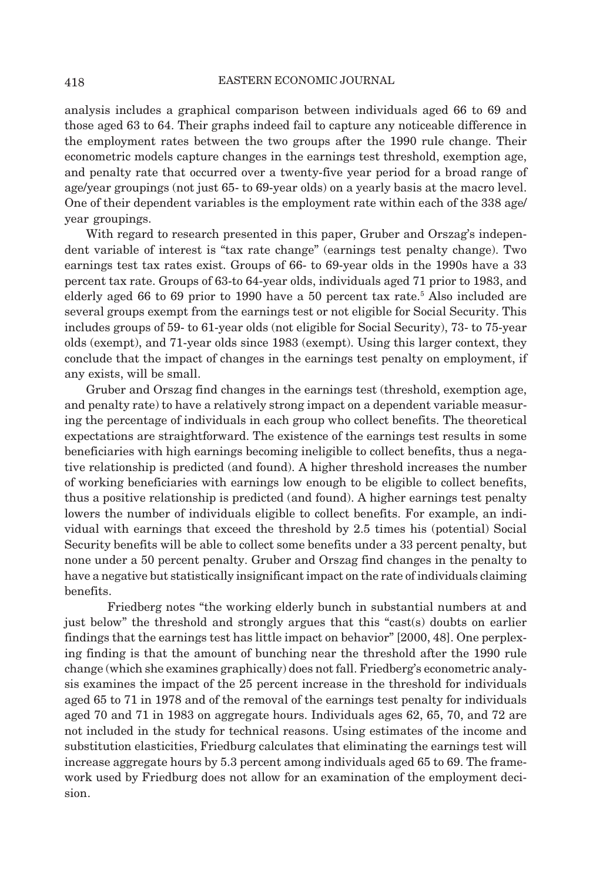analysis includes a graphical comparison between individuals aged 66 to 69 and those aged 63 to 64. Their graphs indeed fail to capture any noticeable difference in the employment rates between the two groups after the 1990 rule change. Their econometric models capture changes in the earnings test threshold, exemption age, and penalty rate that occurred over a twenty-five year period for a broad range of age/year groupings (not just 65- to 69-year olds) on a yearly basis at the macro level. One of their dependent variables is the employment rate within each of the 338 age/ year groupings.

With regard to research presented in this paper, Gruber and Orszag's independent variable of interest is "tax rate change" (earnings test penalty change). Two earnings test tax rates exist. Groups of 66- to 69-year olds in the 1990s have a 33 percent tax rate. Groups of 63-to 64-year olds, individuals aged 71 prior to 1983, and elderly aged 66 to 69 prior to 1990 have a 50 percent tax rate.<sup>5</sup> Also included are several groups exempt from the earnings test or not eligible for Social Security. This includes groups of 59- to 61-year olds (not eligible for Social Security), 73- to 75-year olds (exempt), and 71-year olds since 1983 (exempt). Using this larger context, they conclude that the impact of changes in the earnings test penalty on employment, if any exists, will be small.

Gruber and Orszag find changes in the earnings test (threshold, exemption age, and penalty rate) to have a relatively strong impact on a dependent variable measuring the percentage of individuals in each group who collect benefits. The theoretical expectations are straightforward. The existence of the earnings test results in some beneficiaries with high earnings becoming ineligible to collect benefits, thus a negative relationship is predicted (and found). A higher threshold increases the number of working beneficiaries with earnings low enough to be eligible to collect benefits, thus a positive relationship is predicted (and found). A higher earnings test penalty lowers the number of individuals eligible to collect benefits. For example, an individual with earnings that exceed the threshold by 2.5 times his (potential) Social Security benefits will be able to collect some benefits under a 33 percent penalty, but none under a 50 percent penalty. Gruber and Orszag find changes in the penalty to have a negative but statistically insignificant impact on the rate of individuals claiming benefits.

Friedberg notes "the working elderly bunch in substantial numbers at and just below" the threshold and strongly argues that this "cast(s) doubts on earlier findings that the earnings test has little impact on behavior" [2000, 48]. One perplexing finding is that the amount of bunching near the threshold after the 1990 rule change (which she examines graphically) does not fall. Friedberg's econometric analysis examines the impact of the 25 percent increase in the threshold for individuals aged 65 to 71 in 1978 and of the removal of the earnings test penalty for individuals aged 70 and 71 in 1983 on aggregate hours. Individuals ages 62, 65, 70, and 72 are not included in the study for technical reasons. Using estimates of the income and substitution elasticities, Friedburg calculates that eliminating the earnings test will increase aggregate hours by 5.3 percent among individuals aged 65 to 69. The framework used by Friedburg does not allow for an examination of the employment decision.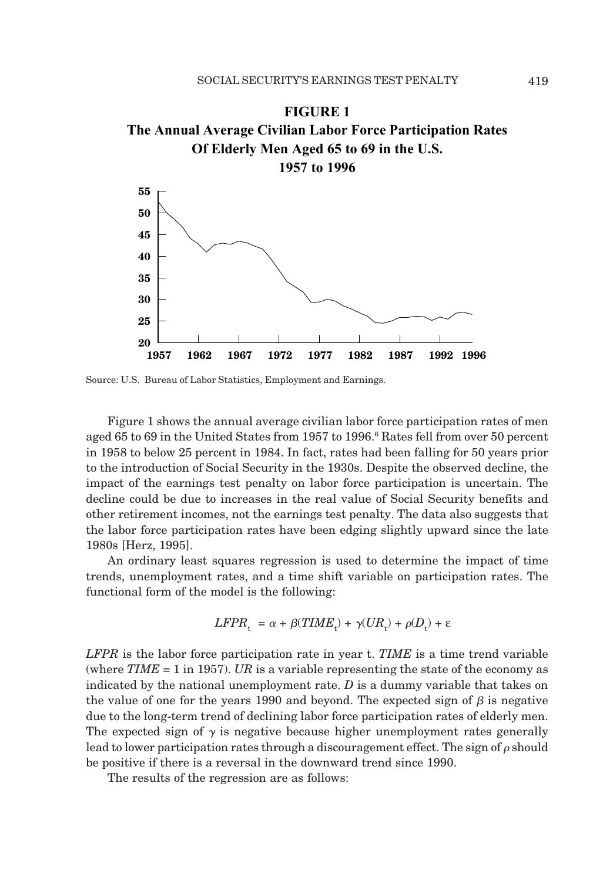

Source: U.S. Bureau of Labor Statistics, Employment and Earnings.

Figure 1 shows the annual average civilian labor force participation rates of men aged 65 to 69 in the United States from 1957 to 1996.<sup>6</sup> Rates fell from over 50 percent in 1958 to below 25 percent in 1984. In fact, rates had been falling for 50 years prior to the introduction of Social Security in the 1930s. Despite the observed decline, the impact of the earnings test penalty on labor force participation is uncertain. The decline could be due to increases in the real value of Social Security benefits and other retirement incomes, not the earnings test penalty. The data also suggests that the labor force participation rates have been edging slightly upward since the late 1980s [Herz, 1995].

An ordinary least squares regression is used to determine the impact of time trends, unemployment rates, and a time shift variable on participation rates. The functional form of the model is the following:

$$
LFPR_{t} = \alpha + \beta (TIME_{t}) + \gamma (UR_{t}) + \rho (D_{t}) + \varepsilon
$$

*LFPR* is the labor force participation rate in year t. *TIME* is a time trend variable (where  $TIME = 1$  in 1957). *UR* is a variable representing the state of the economy as indicated by the national unemployment rate. *D* is a dummy variable that takes on the value of one for the years 1990 and beyond. The expected sign of  $\beta$  is negative due to the long-term trend of declining labor force participation rates of elderly men. The expected sign of  $\gamma$  is negative because higher unemployment rates generally lead to lower participation rates through a discouragement effect. The sign of  $\rho$  should be positive if there is a reversal in the downward trend since 1990.

The results of the regression are as follows: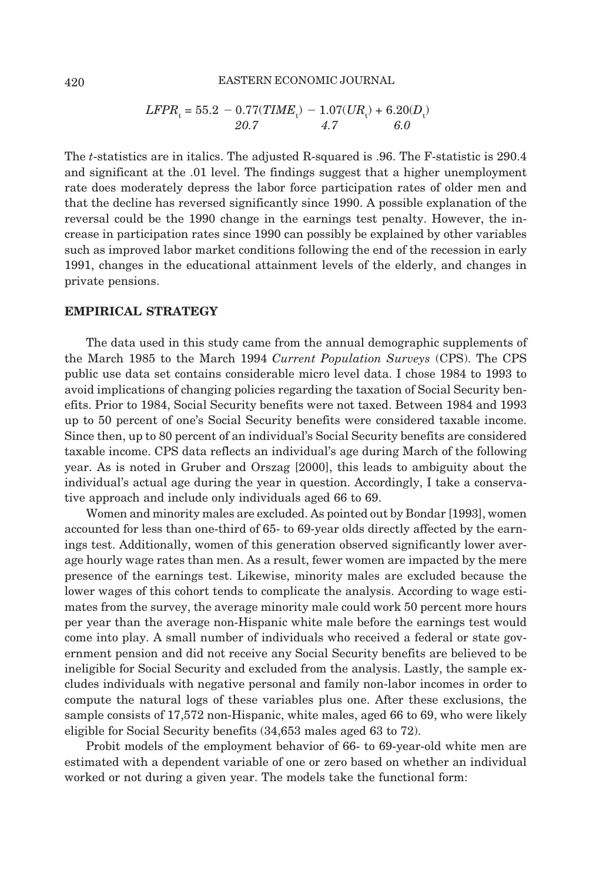#### 420 EASTERN ECONOMIC JOURNAL

$$
LFPR_t = 55.2 - 0.77(TIME_t) - 1.07(UR_t) + 6.20(D_t)
$$
  
20.7 4.7 6.0

The *t*-statistics are in italics. The adjusted R-squared is .96. The F-statistic is 290.4 and significant at the .01 level. The findings suggest that a higher unemployment rate does moderately depress the labor force participation rates of older men and that the decline has reversed significantly since 1990. A possible explanation of the reversal could be the 1990 change in the earnings test penalty. However, the increase in participation rates since 1990 can possibly be explained by other variables such as improved labor market conditions following the end of the recession in early 1991, changes in the educational attainment levels of the elderly, and changes in private pensions.

#### **EMPIRICAL STRATEGY**

The data used in this study came from the annual demographic supplements of the March 1985 to the March 1994 *Current Population Surveys* (CPS). The CPS public use data set contains considerable micro level data. I chose 1984 to 1993 to avoid implications of changing policies regarding the taxation of Social Security benefits. Prior to 1984, Social Security benefits were not taxed. Between 1984 and 1993 up to 50 percent of one's Social Security benefits were considered taxable income. Since then, up to 80 percent of an individual's Social Security benefits are considered taxable income. CPS data reflects an individual's age during March of the following year. As is noted in Gruber and Orszag [2000], this leads to ambiguity about the individual's actual age during the year in question. Accordingly, I take a conservative approach and include only individuals aged 66 to 69.

Women and minority males are excluded. As pointed out by Bondar [1993], women accounted for less than one-third of 65- to 69-year olds directly affected by the earnings test. Additionally, women of this generation observed significantly lower average hourly wage rates than men. As a result, fewer women are impacted by the mere presence of the earnings test. Likewise, minority males are excluded because the lower wages of this cohort tends to complicate the analysis. According to wage estimates from the survey, the average minority male could work 50 percent more hours per year than the average non-Hispanic white male before the earnings test would come into play. A small number of individuals who received a federal or state government pension and did not receive any Social Security benefits are believed to be ineligible for Social Security and excluded from the analysis. Lastly, the sample excludes individuals with negative personal and family non-labor incomes in order to compute the natural logs of these variables plus one. After these exclusions, the sample consists of 17,572 non-Hispanic, white males, aged 66 to 69, who were likely eligible for Social Security benefits (34,653 males aged 63 to 72).

Probit models of the employment behavior of 66- to 69-year-old white men are estimated with a dependent variable of one or zero based on whether an individual worked or not during a given year. The models take the functional form: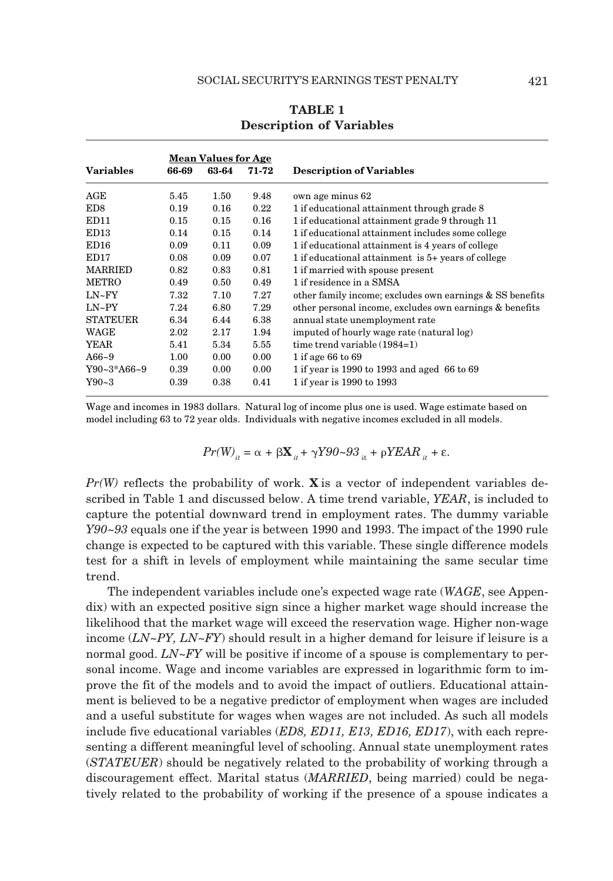|                   | <u>Mean Values for Age</u> |       |       |                                                          |
|-------------------|----------------------------|-------|-------|----------------------------------------------------------|
| <b>Variables</b>  | 66-69                      | 63-64 | 71-72 | <b>Description of Variables</b>                          |
| AGE               | 5.45                       | 1.50  | 9.48  | own age minus 62                                         |
| ED <sub>8</sub>   | 0.19                       | 0.16  | 0.22  | 1 if educational attainment through grade 8              |
| ED <sub>11</sub>  | 0.15                       | 0.15  | 0.16  | 1 if educational attainment grade 9 through 11           |
| ED <sub>13</sub>  | 0.14                       | 0.15  | 0.14  | 1 if educational attainment includes some college        |
| ED <sub>16</sub>  | 0.09                       | 0.11  | 0.09  | 1 if educational attainment is 4 years of college        |
| ED <sub>17</sub>  | 0.08                       | 0.09  | 0.07  | 1 if educational attainment is 5+ years of college       |
| <b>MARRIED</b>    | 0.82                       | 0.83  | 0.81  | 1 if married with spouse present                         |
| <b>METRO</b>      | 0.49                       | 0.50  | 0.49  | 1 if residence in a SMSA                                 |
| $LN-FY$           | 7.32                       | 7.10  | 7.27  | other family income; excludes own earnings & SS benefits |
| $LN-PY$           | 7.24                       | 6.80  | 7.29  | other personal income, excludes own earnings & benefits  |
| <b>STATEUER</b>   | 6.34                       | 6.44  | 6.38  | annual state unemployment rate                           |
| WAGE              | 2.02                       | 2.17  | 1.94  | imputed of hourly wage rate (natural log)                |
| YEAR              | 5.41                       | 5.34  | 5.55  | time trend variable $(1984=1)$                           |
| $A66 - 9$         | 1.00                       | 0.00  | 0.00  | 1 if age 66 to 69                                        |
| $Y90 - 3*AG6 - 9$ | 0.39                       | 0.00  | 0.00  | 1 if year is 1990 to 1993 and aged 66 to 69              |
| $Y90-3$           | 0.39                       | 0.38  | 0.41  | 1 if year is 1990 to 1993                                |

# **TABLE 1 Description of Variables**

Wage and incomes in 1983 dollars. Natural log of income plus one is used. Wage estimate based on model including 63 to 72 year olds. Individuals with negative incomes excluded in all models.

$$
Pr(W)_{it} = \alpha + \beta \mathbf{X}_{it} + \gamma Y 90 - 93_{it} + \beta Y E A R_{it} + \varepsilon.
$$

*Pr(W)* reflects the probability of work. **X** is a vector of independent variables described in Table 1 and discussed below. A time trend variable, *YEAR*, is included to capture the potential downward trend in employment rates. The dummy variable *Y90~93* equals one if the year is between 1990 and 1993. The impact of the 1990 rule change is expected to be captured with this variable. These single difference models test for a shift in levels of employment while maintaining the same secular time trend.

The independent variables include one's expected wage rate (*WAGE*, see Appendix) with an expected positive sign since a higher market wage should increase the likelihood that the market wage will exceed the reservation wage. Higher non-wage income (*LN~PY, LN~FY*) should result in a higher demand for leisure if leisure is a normal good. *LN~FY* will be positive if income of a spouse is complementary to personal income. Wage and income variables are expressed in logarithmic form to improve the fit of the models and to avoid the impact of outliers. Educational attainment is believed to be a negative predictor of employment when wages are included and a useful substitute for wages when wages are not included. As such all models include five educational variables (*ED8, ED11, E13, ED16, ED17*), with each representing a different meaningful level of schooling. Annual state unemployment rates (*STATEUER*) should be negatively related to the probability of working through a discouragement effect. Marital status (*MARRIED*, being married) could be negatively related to the probability of working if the presence of a spouse indicates a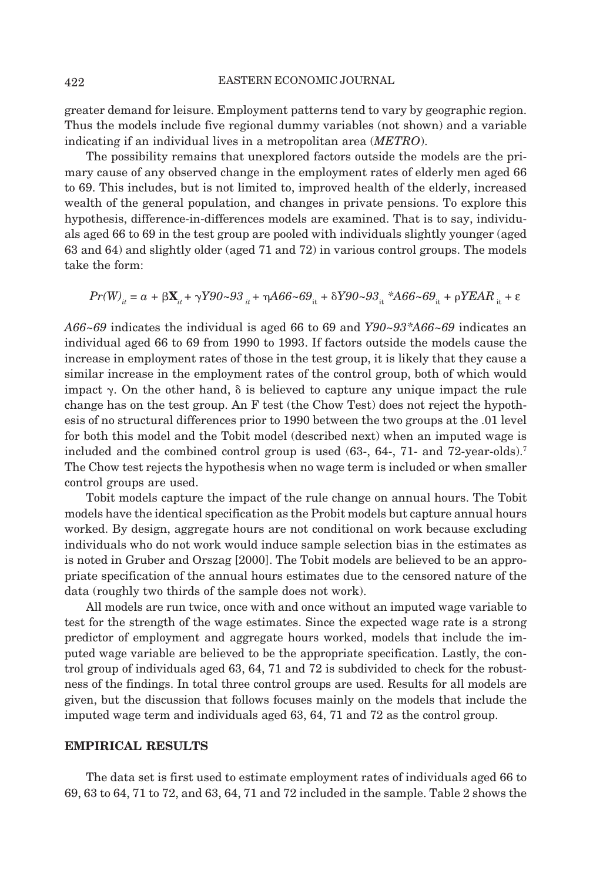#### 422 EASTERN ECONOMIC JOURNAL

greater demand for leisure. Employment patterns tend to vary by geographic region. Thus the models include five regional dummy variables (not shown) and a variable indicating if an individual lives in a metropolitan area (*METRO*).

The possibility remains that unexplored factors outside the models are the primary cause of any observed change in the employment rates of elderly men aged 66 to 69. This includes, but is not limited to, improved health of the elderly, increased wealth of the general population, and changes in private pensions. To explore this hypothesis, difference-in-differences models are examined. That is to say, individuals aged 66 to 69 in the test group are pooled with individuals slightly younger (aged 63 and 64) and slightly older (aged 71 and 72) in various control groups. The models take the form:

*Pr*(W)<sub>*it*</sub> = *a* + β $X_i$  + γY90~93 <sub>*it*</sub> + ηA66~69<sub>it</sub> + δY90~93<sub>it</sub> \*A66~69<sub>it</sub> + ρYEAR <sub>it</sub> + ε

*A66~69* indicates the individual is aged 66 to 69 and *Y90~93\*A66~69* indicates an individual aged 66 to 69 from 1990 to 1993. If factors outside the models cause the increase in employment rates of those in the test group, it is likely that they cause a similar increase in the employment rates of the control group, both of which would impact  $\gamma$ . On the other hand,  $\delta$  is believed to capture any unique impact the rule change has on the test group. An F test (the Chow Test) does not reject the hypothesis of no structural differences prior to 1990 between the two groups at the .01 level for both this model and the Tobit model (described next) when an imputed wage is included and the combined control group is used (63-, 64-, 71- and 72-year-olds).7 The Chow test rejects the hypothesis when no wage term is included or when smaller control groups are used.

Tobit models capture the impact of the rule change on annual hours. The Tobit models have the identical specification as the Probit models but capture annual hours worked. By design, aggregate hours are not conditional on work because excluding individuals who do not work would induce sample selection bias in the estimates as is noted in Gruber and Orszag [2000]. The Tobit models are believed to be an appropriate specification of the annual hours estimates due to the censored nature of the data (roughly two thirds of the sample does not work).

All models are run twice, once with and once without an imputed wage variable to test for the strength of the wage estimates. Since the expected wage rate is a strong predictor of employment and aggregate hours worked, models that include the imputed wage variable are believed to be the appropriate specification. Lastly, the control group of individuals aged 63, 64, 71 and 72 is subdivided to check for the robustness of the findings. In total three control groups are used. Results for all models are given, but the discussion that follows focuses mainly on the models that include the imputed wage term and individuals aged 63, 64, 71 and 72 as the control group.

#### **EMPIRICAL RESULTS**

The data set is first used to estimate employment rates of individuals aged 66 to 69, 63 to 64, 71 to 72, and 63, 64, 71 and 72 included in the sample. Table 2 shows the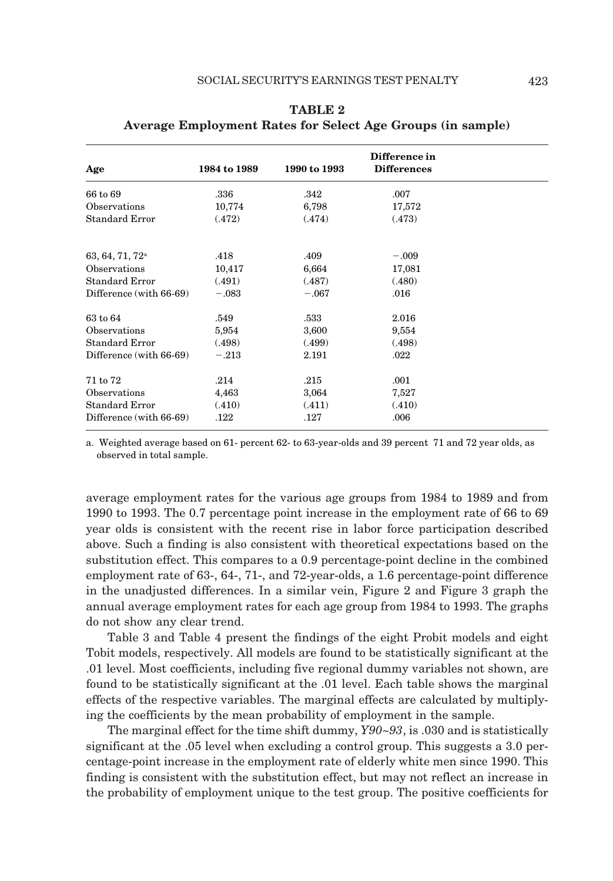| Age                         | 1984 to 1989 | 1990 to 1993 | Difference in<br><b>Differences</b> |  |
|-----------------------------|--------------|--------------|-------------------------------------|--|
| 66 to 69                    | .336         | .342         | .007                                |  |
| Observations                | 10,774       | 6,798        | 17,572                              |  |
| <b>Standard Error</b>       | (.472)       | (.474)       | (.473)                              |  |
| 63, 64, 71, 72 <sup>a</sup> | .418         | .409         | $-.009$                             |  |
| Observations                | 10,417       | 6,664        | 17,081                              |  |
| <b>Standard Error</b>       | (.491)       | (.487)       | (.480)                              |  |
| Difference (with 66-69)     | $-.083$      | $-.067$      | .016                                |  |
| 63 to 64                    | .549         | .533         | 2.016                               |  |
| Observations                | 5,954        | 3,600        | 9,554                               |  |
| Standard Error              | (.498)       | (.499)       | (.498)                              |  |
| Difference (with 66-69)     | $-.213$      | 2.191        | .022                                |  |
| 71 to 72                    | .214         | .215         | .001                                |  |
| Observations                | 4,463        | 3,064        | 7,527                               |  |
| Standard Error              | (.410)       | (.411)       | (.410)                              |  |
| Difference (with 66-69)     | .122         | .127         | .006                                |  |

# **TABLE 2 Average Employment Rates for Select Age Groups (in sample)**

a. Weighted average based on 61- percent 62- to 63-year-olds and 39 percent 71 and 72 year olds, as observed in total sample.

average employment rates for the various age groups from 1984 to 1989 and from 1990 to 1993. The 0.7 percentage point increase in the employment rate of 66 to 69 year olds is consistent with the recent rise in labor force participation described above. Such a finding is also consistent with theoretical expectations based on the substitution effect. This compares to a 0.9 percentage-point decline in the combined employment rate of 63-, 64-, 71-, and 72-year-olds, a 1.6 percentage-point difference in the unadjusted differences. In a similar vein, Figure 2 and Figure 3 graph the annual average employment rates for each age group from 1984 to 1993. The graphs do not show any clear trend.

Table 3 and Table 4 present the findings of the eight Probit models and eight Tobit models, respectively. All models are found to be statistically significant at the .01 level. Most coefficients, including five regional dummy variables not shown, are found to be statistically significant at the .01 level. Each table shows the marginal effects of the respective variables. The marginal effects are calculated by multiplying the coefficients by the mean probability of employment in the sample.

The marginal effect for the time shift dummy, *Y90~93*, is .030 and is statistically significant at the .05 level when excluding a control group. This suggests a 3.0 percentage-point increase in the employment rate of elderly white men since 1990. This finding is consistent with the substitution effect, but may not reflect an increase in the probability of employment unique to the test group. The positive coefficients for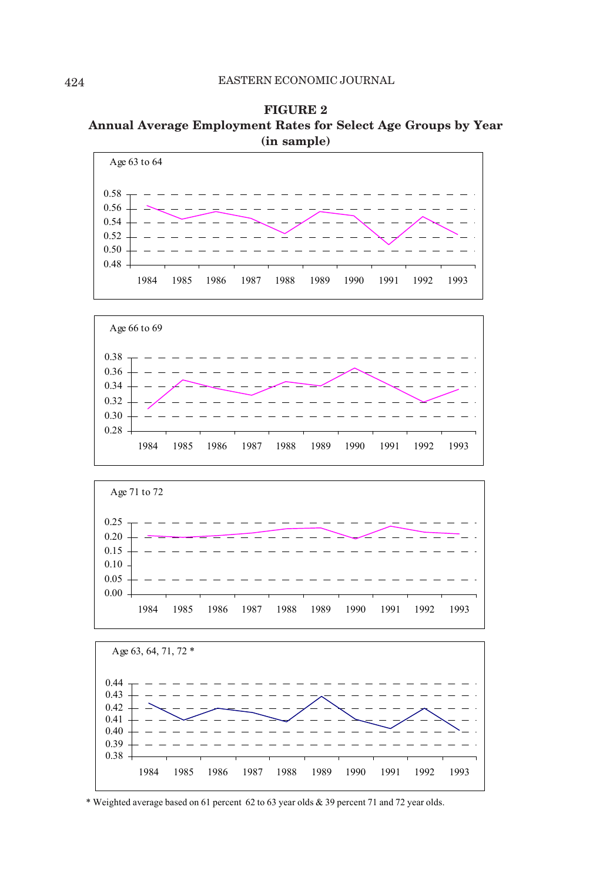**FIGURE 2 Annual Average Employment Rates for Select Age Groups by Year (in sample)**









\* Weighted average based on 61 percent 62 to 63 year olds & 39 percent 71 and 72 year olds.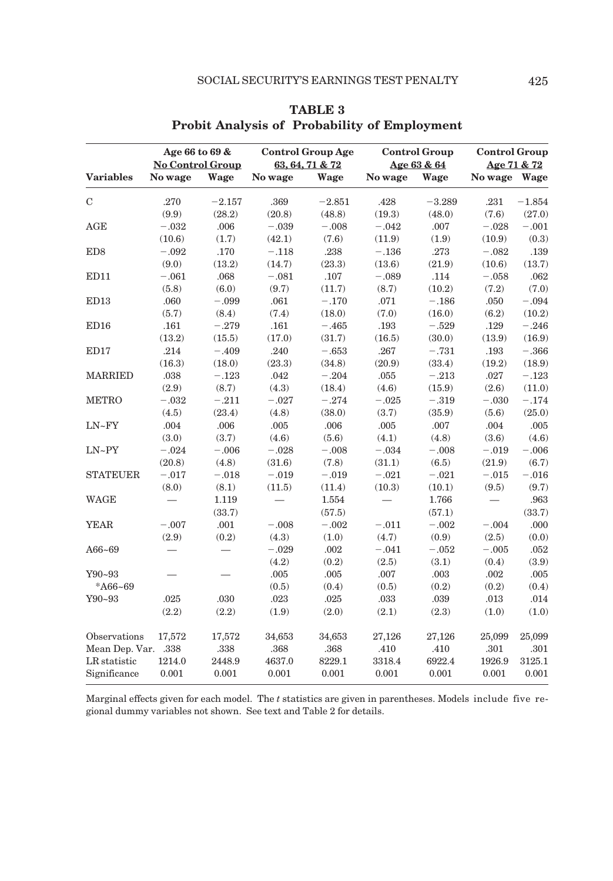|                     |          | Age 66 to 69 &<br><b>No Control Group</b> |          | <b>Control Group Age</b><br>63, 64, 71 & 72 |                          | <b>Control Group</b><br>Age 63 & 64 |              | <b>Control Group</b><br>Age 71 & 72 |  |
|---------------------|----------|-------------------------------------------|----------|---------------------------------------------|--------------------------|-------------------------------------|--------------|-------------------------------------|--|
| <b>Variables</b>    | No wage  | Wage                                      | No wage  | Wage                                        | No wage                  | Wage                                | No wage Wage |                                     |  |
| $\mathbf C$         | .270     | $-2.157$                                  | .369     | $-2.851$                                    | .428                     | $-3.289$                            | .231         | $-1.854$                            |  |
|                     | (9.9)    | (28.2)                                    | (20.8)   | (48.8)                                      | (19.3)                   | (48.0)                              | (7.6)        | (27.0)                              |  |
| AGE                 | $-.032$  | .006                                      | $-.039$  | $-.008$                                     | $-.042$                  | .007                                | $-.028$      | $-.001$                             |  |
|                     | (10.6)   | (1.7)                                     | (42.1)   | (7.6)                                       | (11.9)                   | (1.9)                               | (10.9)       | (0.3)                               |  |
| ED8                 | $-.092$  | .170                                      | $-.118$  | .238                                        | $-.136$                  | .273                                | $-.082$      | .139                                |  |
|                     | (9.0)    | (13.2)                                    | (14.7)   | (23.3)                                      | (13.6)                   | (21.9)                              | (10.6)       | (13.7)                              |  |
| ED11                | $-.061$  | .068                                      | $-.081$  | .107                                        | $-.089$                  | .114                                | $-.058$      | .062                                |  |
|                     | (5.8)    | (6.0)                                     | (9.7)    | (11.7)                                      | (8.7)                    | (10.2)                              | (7.2)        | (7.0)                               |  |
| ED13                | .060     | $-.099$                                   | .061     | $-.170$                                     | .071                     | $-.186$                             | .050         | $-.094$                             |  |
|                     | (5.7)    | (8.4)                                     | (7.4)    | (18.0)                                      | (7.0)                    | (16.0)                              | (6.2)        | (10.2)                              |  |
| ED <sub>16</sub>    | .161     | $-.279$                                   | .161     | $-.465$                                     | .193                     | $-.529$                             | $.129\,$     | $-.246$                             |  |
|                     | (13.2)   | (15.5)                                    | (17.0)   | (31.7)                                      | (16.5)                   | (30.0)                              | (13.9)       | (16.9)                              |  |
| ED17                | .214     | $-.409$                                   | .240     | $-.653$                                     | $.267\,$                 | $-.731$                             | .193         | $-.366$                             |  |
|                     | (16.3)   | (18.0)                                    | (23.3)   | (34.8)                                      | (20.9)                   | (33.4)                              | (19.2)       | (18.9)                              |  |
| <b>MARRIED</b>      | $.038\,$ | $-.123$                                   | .042     | $-.204$                                     | .055                     | $-.213$                             | .027         | $-.123$                             |  |
|                     | (2.9)    | (8.7)                                     | (4.3)    | (18.4)                                      | (4.6)                    | (15.9)                              | (2.6)        | (11.0)                              |  |
| <b>METRO</b>        | $-.032$  | $-.211$                                   | $-.027$  | $-.274$                                     | $-.025$                  | $-.319$                             | $-.030$      | $-.174$                             |  |
|                     | (4.5)    | (23.4)                                    | (4.8)    | (38.0)                                      | (3.7)                    | (35.9)                              | (5.6)        | (25.0)                              |  |
| $LN-FY$             | .004     | .006                                      | $.005\,$ | .006                                        | .005                     | $.007$                              | .004         | $.005\,$                            |  |
|                     | (3.0)    | (3.7)                                     | (4.6)    | (5.6)                                       | (4.1)                    | (4.8)                               | (3.6)        | (4.6)                               |  |
| LN~PY               | $-.024$  | $-.006$                                   | $-.028$  | $-.008$                                     | $-.034$                  | $-.008$                             | $-.019$      | $-.006$                             |  |
|                     | (20.8)   | (4.8)                                     | (31.6)   | (7.8)                                       | (31.1)                   | (6.5)                               | (21.9)       | (6.7)                               |  |
| <b>STATEUER</b>     | $-.017$  | $-.018$                                   | $-.019$  | $-.019$                                     | $-.021$                  | $-.021$                             | $-.015$      | $-.016$                             |  |
|                     | (8.0)    | (8.1)                                     | (11.5)   | (11.4)                                      | (10.3)                   | (10.1)                              | (9.5)        | (9.7)                               |  |
| WAGE                |          | 1.119                                     |          | 1.554                                       | $\overline{\phantom{0}}$ | 1.766                               |              | .963                                |  |
|                     |          | (33.7)                                    |          | (57.5)                                      |                          | (57.1)                              |              | (33.7)                              |  |
| <b>YEAR</b>         | $-.007$  | .001                                      | $-.008$  | $-.002$                                     | $-.011$                  | $-.002$                             | $-.004$      | .000                                |  |
|                     | (2.9)    | (0.2)                                     | (4.3)    | (1.0)                                       | (4.7)                    | (0.9)                               | (2.5)        | (0.0)                               |  |
| A66~69              |          |                                           | $-.029$  | .002                                        | $-.041$                  | $-.052$                             | $-.005$      | .052                                |  |
|                     |          |                                           | (4.2)    | (0.2)                                       | (2.5)                    | (3.1)                               | (0.4)        | (3.9)                               |  |
| Y90~93              |          |                                           | .005     | .005                                        | .007                     | .003                                | .002         | .005                                |  |
| *A66~69             |          |                                           | (0.5)    | (0.4)                                       | (0.5)                    | (0.2)                               | (0.2)        | (0.4)                               |  |
| Y90~93              | .025     | .030                                      | .023     | .025                                        | .033                     | .039                                | .013         | .014                                |  |
|                     | (2.2)    | (2.2)                                     | (1.9)    | (2.0)                                       | (2.1)                    | (2.3)                               | (1.0)        | (1.0)                               |  |
| Observations        | 17,572   | 17,572                                    | 34,653   | 34,653                                      | 27,126                   | 27,126                              | 25,099       | 25,099                              |  |
| Mean Dep. Var. .338 |          | .338                                      | .368     | .368                                        | .410                     | .410                                | $.301\,$     | .301                                |  |
| LR statistic        | 1214.0   | 2448.9                                    | 4637.0   | 8229.1                                      | 3318.4                   | 6922.4                              | 1926.9       | 3125.1                              |  |
| Significance        | 0.001    | 0.001                                     | 0.001    | 0.001                                       | 0.001                    | 0.001                               | 0.001        | 0.001                               |  |

**TABLE 3 Probit Analysis of Probability of Employment**

Marginal effects given for each model. The *t* statistics are given in parentheses. Models include five regional dummy variables not shown. See text and Table 2 for details.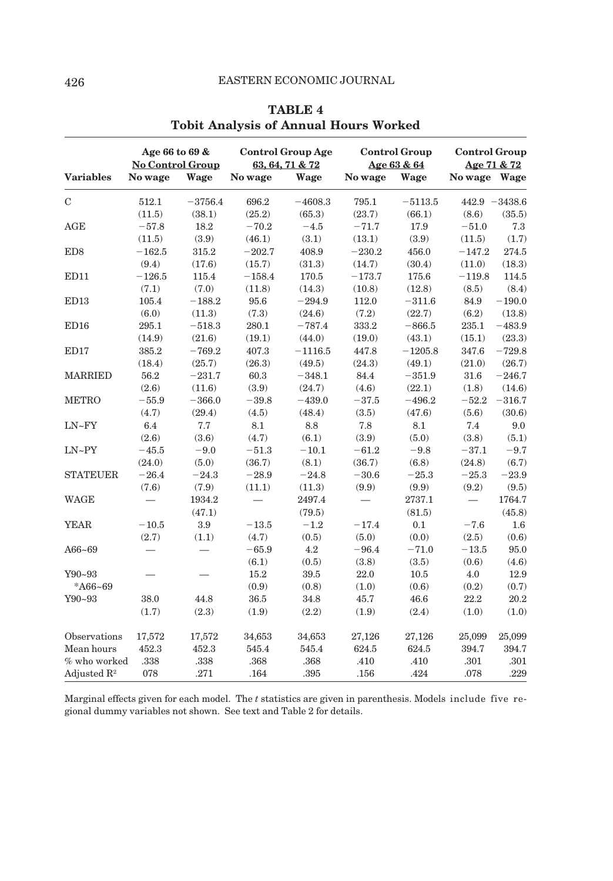|                         |          | Age 66 to 69 &<br><b>No Control Group</b> |          | <b>Control Group Age</b><br>63, 64, 71 & 72 |          | <b>Control Group</b><br>Age 63 & 64 |              | <b>Control Group</b><br>Age 71 & 72 |  |
|-------------------------|----------|-------------------------------------------|----------|---------------------------------------------|----------|-------------------------------------|--------------|-------------------------------------|--|
| <b>Variables</b>        | No wage  | Wage                                      | No wage  | Wage                                        | No wage  | Wage                                | No wage Wage |                                     |  |
| C                       | 512.1    | $-3756.4$                                 | 696.2    | $-4608.3$                                   | 795.1    | $-5113.5$                           |              | $442.9 - 3438.6$                    |  |
|                         | (11.5)   | (38.1)                                    | (25.2)   | (65.3)                                      | (23.7)   | (66.1)                              | (8.6)        | (35.5)                              |  |
| AGE                     | $-57.8$  | 18.2                                      | $-70.2$  | $-4.5$                                      | $-71.7$  | 17.9                                | $-51.0$      | 7.3                                 |  |
|                         | (11.5)   | (3.9)                                     | (46.1)   | (3.1)                                       | (13.1)   | (3.9)                               | (11.5)       | (1.7)                               |  |
| ED <sub>8</sub>         | $-162.5$ | 315.2                                     | $-202.7$ | 408.9                                       | $-230.2$ | 456.0                               | $-147.2$     | 274.5                               |  |
|                         | (9.4)    | (17.6)                                    | (15.7)   | (31.3)                                      | (14.7)   | (30.4)                              | (11.0)       | (18.3)                              |  |
| ED11                    | $-126.5$ | 115.4                                     | $-158.4$ | 170.5                                       | $-173.7$ | 175.6                               | $-119.8$     | 114.5                               |  |
|                         | (7.1)    | (7.0)                                     | (11.8)   | (14.3)                                      | (10.8)   | (12.8)                              | (8.5)        | (8.4)                               |  |
| ED13                    | 105.4    | $-188.2$                                  | 95.6     | $-294.9$                                    | 112.0    | $-311.6$                            | 84.9         | $-190.0$                            |  |
|                         | (6.0)    | (11.3)                                    | (7.3)    | (24.6)                                      | (7.2)    | (22.7)                              | (6.2)        | (13.8)                              |  |
| ED16                    | 295.1    | $-518.3$                                  | 280.1    | $-787.4$                                    | 333.2    | $-866.5$                            | 235.1        | $-483.9$                            |  |
|                         | (14.9)   | (21.6)                                    | (19.1)   | (44.0)                                      | (19.0)   | (43.1)                              | (15.1)       | (23.3)                              |  |
| ED17                    | 385.2    | $-769.2$                                  | 407.3    | $-1116.5$                                   | 447.8    | $-1205.8$                           | 347.6        | $-729.8$                            |  |
|                         | (18.4)   | (25.7)                                    | (26.3)   | (49.5)                                      | (24.3)   | (49.1)                              | (21.0)       | (26.7)                              |  |
| <b>MARRIED</b>          | 56.2     | $-231.7$                                  | 60.3     | $-348.1$                                    | 84.4     | $-351.9$                            | 31.6         | $-246.7$                            |  |
|                         | (2.6)    | (11.6)                                    | (3.9)    | (24.7)                                      | (4.6)    | (22.1)                              | (1.8)        | (14.6)                              |  |
| <b>METRO</b>            | $-55.9$  | $-366.0$                                  | $-39.8$  | $-439.0$                                    | $-37.5$  | $-496.2$                            | $-52.2$      | $-316.7$                            |  |
|                         | (4.7)    | (29.4)                                    | (4.5)    | (48.4)                                      | (3.5)    | (47.6)                              | (5.6)        | (30.6)                              |  |
| $LN-FY$                 | 6.4      | 7.7                                       | 8.1      | 8.8                                         | 7.8      | 8.1                                 | 7.4          | 9.0                                 |  |
|                         | (2.6)    | (3.6)                                     | (4.7)    | (6.1)                                       | (3.9)    | (5.0)                               | (3.8)        | (5.1)                               |  |
| $LN-PY$                 | $-45.5$  | $-9.0$                                    | $-51.3$  | $-10.1$                                     | $-61.2$  | $-9.8$                              | $-37.1$      | $-9.7$                              |  |
|                         | (24.0)   | (5.0)                                     | (36.7)   | (8.1)                                       | (36.7)   | (6.8)                               | (24.8)       | (6.7)                               |  |
| <b>STATEUER</b>         | $-26.4$  | $-24.3$                                   | $-28.9$  | $-24.8$                                     | $-30.6$  | $-25.3$                             | $-25.3$      | $-23.9$                             |  |
|                         | (7.6)    | (7.9)                                     | (11.1)   | (11.3)                                      | (9.9)    | (9.9)                               | (9.2)        | (9.5)                               |  |
| <b>WAGE</b>             |          | 1934.2                                    |          | 2497.4                                      |          | 2737.1                              |              | 1764.7                              |  |
|                         |          | (47.1)                                    |          | (79.5)                                      |          | (81.5)                              |              | (45.8)                              |  |
| <b>YEAR</b>             | $-10.5$  | 3.9                                       | $-13.5$  | $-1.2$                                      | $-17.4$  | 0.1                                 | $-7.6$       | 1.6                                 |  |
|                         | (2.7)    | (1.1)                                     | (4.7)    | (0.5)                                       | (5.0)    | (0.0)                               | (2.5)        | (0.6)                               |  |
| A66~69                  |          |                                           | $-65.9$  | 4.2                                         | $-96.4$  | $-71.0$                             | $-13.5$      | 95.0                                |  |
|                         |          |                                           | (6.1)    | (0.5)                                       | (3.8)    | (3.5)                               | (0.6)        | (4.6)                               |  |
| $Y90 - 93$              |          |                                           | 15.2     | 39.5                                        | 22.0     | 10.5                                | 4.0          | 12.9                                |  |
| * $A66 - 69$            |          |                                           | (0.9)    | (0.8)                                       | (1.0)    | (0.6)                               | (0.2)        | (0.7)                               |  |
| Y90~93                  | 38.0     | 44.8                                      | $36.5\,$ | 34.8                                        | 45.7     | 46.6                                | 22.2         | 20.2                                |  |
|                         | (1.7)    | (2.3)                                     | (1.9)    | (2.2)                                       | (1.9)    | (2.4)                               | (1.0)        | (1.0)                               |  |
| Observations            | 17,572   | 17,572                                    | 34,653   | 34,653                                      | 27,126   | 27,126                              | 25,099       | 25,099                              |  |
| Mean hours              | 452.3    | 452.3                                     | 545.4    | 545.4                                       | 624.5    | 624.5                               | 394.7        | 394.7                               |  |
| % who worked            | .338     | .338                                      | .368     | .368                                        | .410     | .410                                | .301         | .301                                |  |
| Adjusted $\mathbb{R}^2$ | 078      | .271                                      | .164     | .395                                        | .156     | .424                                | .078         | .229                                |  |

# **TABLE 4 Tobit Analysis of Annual Hours Worked**

Marginal effects given for each model. The *t* statistics are given in parenthesis. Models include five regional dummy variables not shown. See text and Table 2 for details.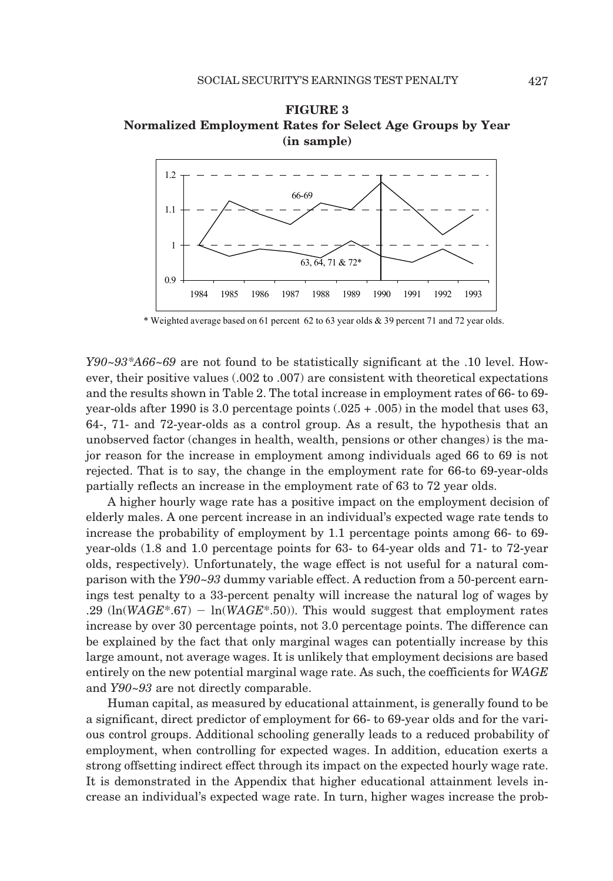



\* Weighted average based on 61 percent 62 to 63 year olds & 39 percent 71 and 72 year olds.

*Y90~93\*A66~69* are not found to be statistically significant at the .10 level. However, their positive values (.002 to .007) are consistent with theoretical expectations and the results shown in Table 2. The total increase in employment rates of 66- to 69 year-olds after 1990 is 3.0 percentage points (.025 + .005) in the model that uses 63, 64-, 71- and 72-year-olds as a control group. As a result, the hypothesis that an unobserved factor (changes in health, wealth, pensions or other changes) is the major reason for the increase in employment among individuals aged 66 to 69 is not rejected. That is to say, the change in the employment rate for 66-to 69-year-olds partially reflects an increase in the employment rate of 63 to 72 year olds.

A higher hourly wage rate has a positive impact on the employment decision of elderly males. A one percent increase in an individual's expected wage rate tends to increase the probability of employment by 1.1 percentage points among 66- to 69 year-olds (1.8 and 1.0 percentage points for 63- to 64-year olds and 71- to 72-year olds, respectively). Unfortunately, the wage effect is not useful for a natural comparison with the *Y90~93* dummy variable effect. A reduction from a 50-percent earnings test penalty to a 33-percent penalty will increase the natural log of wages by .29  $\left(\ln(WAGE^* .67) - \ln(WAGE^* .50)\right)$ . This would suggest that employment rates increase by over 30 percentage points, not 3.0 percentage points. The difference can be explained by the fact that only marginal wages can potentially increase by this large amount, not average wages. It is unlikely that employment decisions are based entirely on the new potential marginal wage rate. As such, the coefficients for *WAGE* and *Y90~93* are not directly comparable.

Human capital, as measured by educational attainment, is generally found to be a significant, direct predictor of employment for 66- to 69-year olds and for the various control groups. Additional schooling generally leads to a reduced probability of employment, when controlling for expected wages. In addition, education exerts a strong offsetting indirect effect through its impact on the expected hourly wage rate. It is demonstrated in the Appendix that higher educational attainment levels increase an individual's expected wage rate. In turn, higher wages increase the prob-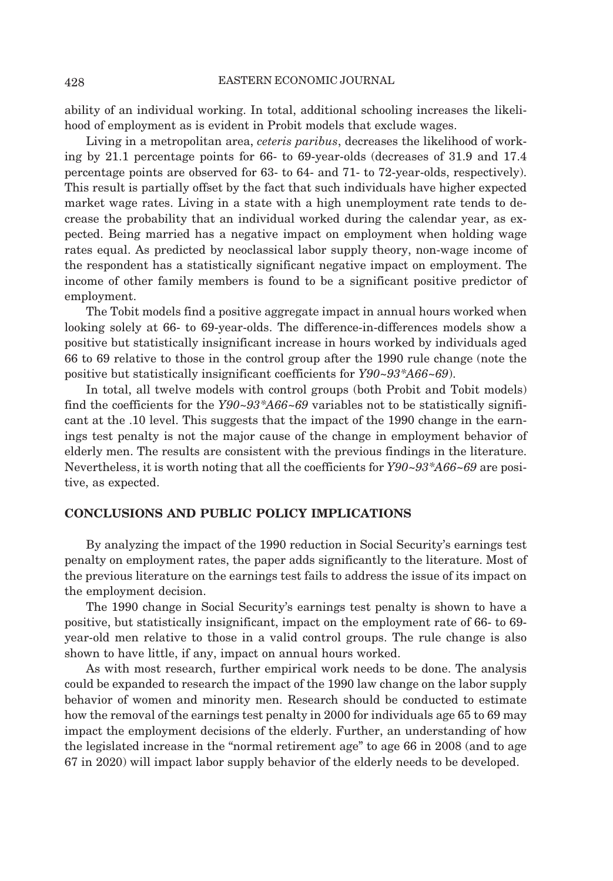ability of an individual working. In total, additional schooling increases the likelihood of employment as is evident in Probit models that exclude wages.

Living in a metropolitan area, *ceteris paribus*, decreases the likelihood of working by 21.1 percentage points for 66- to 69-year-olds (decreases of 31.9 and 17.4 percentage points are observed for 63- to 64- and 71- to 72-year-olds, respectively). This result is partially offset by the fact that such individuals have higher expected market wage rates. Living in a state with a high unemployment rate tends to decrease the probability that an individual worked during the calendar year, as expected. Being married has a negative impact on employment when holding wage rates equal. As predicted by neoclassical labor supply theory, non-wage income of the respondent has a statistically significant negative impact on employment. The income of other family members is found to be a significant positive predictor of employment.

The Tobit models find a positive aggregate impact in annual hours worked when looking solely at 66- to 69-year-olds. The difference-in-differences models show a positive but statistically insignificant increase in hours worked by individuals aged 66 to 69 relative to those in the control group after the 1990 rule change (note the positive but statistically insignificant coefficients for *Y90~93\*A66~69*).

In total, all twelve models with control groups (both Probit and Tobit models) find the coefficients for the *Y90~93\*A66~69* variables not to be statistically significant at the .10 level. This suggests that the impact of the 1990 change in the earnings test penalty is not the major cause of the change in employment behavior of elderly men. The results are consistent with the previous findings in the literature. Nevertheless, it is worth noting that all the coefficients for *Y90~93\*A66~69* are positive, as expected.

# **CONCLUSIONS AND PUBLIC POLICY IMPLICATIONS**

By analyzing the impact of the 1990 reduction in Social Security's earnings test penalty on employment rates, the paper adds significantly to the literature. Most of the previous literature on the earnings test fails to address the issue of its impact on the employment decision.

The 1990 change in Social Security's earnings test penalty is shown to have a positive, but statistically insignificant, impact on the employment rate of 66- to 69 year-old men relative to those in a valid control groups. The rule change is also shown to have little, if any, impact on annual hours worked.

As with most research, further empirical work needs to be done. The analysis could be expanded to research the impact of the 1990 law change on the labor supply behavior of women and minority men. Research should be conducted to estimate how the removal of the earnings test penalty in 2000 for individuals age 65 to 69 may impact the employment decisions of the elderly. Further, an understanding of how the legislated increase in the "normal retirement age" to age 66 in 2008 (and to age 67 in 2020) will impact labor supply behavior of the elderly needs to be developed.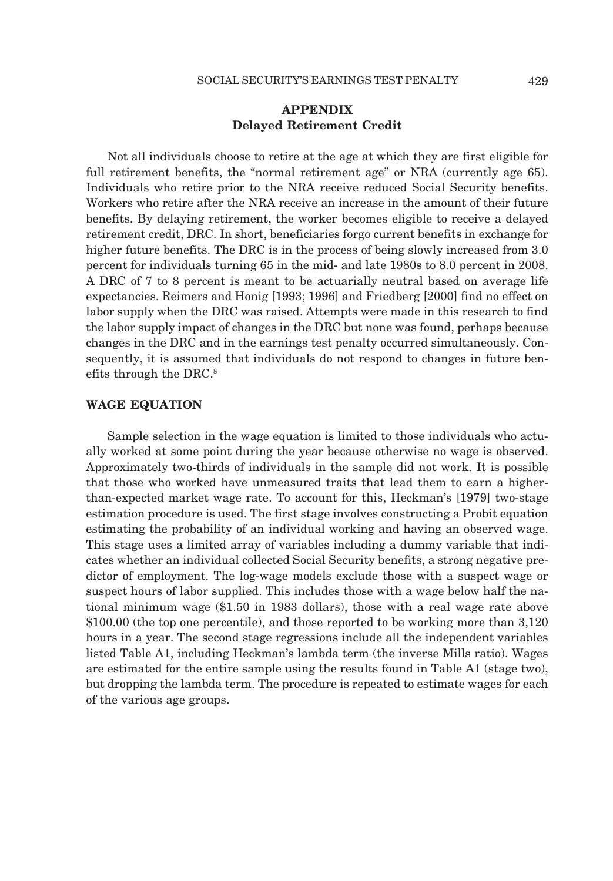# **APPENDIX Delayed Retirement Credit**

Not all individuals choose to retire at the age at which they are first eligible for full retirement benefits, the "normal retirement age" or NRA (currently age 65). Individuals who retire prior to the NRA receive reduced Social Security benefits. Workers who retire after the NRA receive an increase in the amount of their future benefits. By delaying retirement, the worker becomes eligible to receive a delayed retirement credit, DRC. In short, beneficiaries forgo current benefits in exchange for higher future benefits. The DRC is in the process of being slowly increased from 3.0 percent for individuals turning 65 in the mid- and late 1980s to 8.0 percent in 2008. A DRC of 7 to 8 percent is meant to be actuarially neutral based on average life expectancies. Reimers and Honig [1993; 1996] and Friedberg [2000] find no effect on labor supply when the DRC was raised. Attempts were made in this research to find the labor supply impact of changes in the DRC but none was found, perhaps because changes in the DRC and in the earnings test penalty occurred simultaneously. Consequently, it is assumed that individuals do not respond to changes in future benefits through the DRC.8

# **WAGE EQUATION**

Sample selection in the wage equation is limited to those individuals who actually worked at some point during the year because otherwise no wage is observed. Approximately two-thirds of individuals in the sample did not work. It is possible that those who worked have unmeasured traits that lead them to earn a higherthan-expected market wage rate. To account for this, Heckman's [1979] two-stage estimation procedure is used. The first stage involves constructing a Probit equation estimating the probability of an individual working and having an observed wage. This stage uses a limited array of variables including a dummy variable that indicates whether an individual collected Social Security benefits, a strong negative predictor of employment. The log-wage models exclude those with a suspect wage or suspect hours of labor supplied. This includes those with a wage below half the national minimum wage (\$1.50 in 1983 dollars), those with a real wage rate above \$100.00 (the top one percentile), and those reported to be working more than 3,120 hours in a year. The second stage regressions include all the independent variables listed Table A1, including Heckman's lambda term (the inverse Mills ratio). Wages are estimated for the entire sample using the results found in Table A1 (stage two), but dropping the lambda term. The procedure is repeated to estimate wages for each of the various age groups.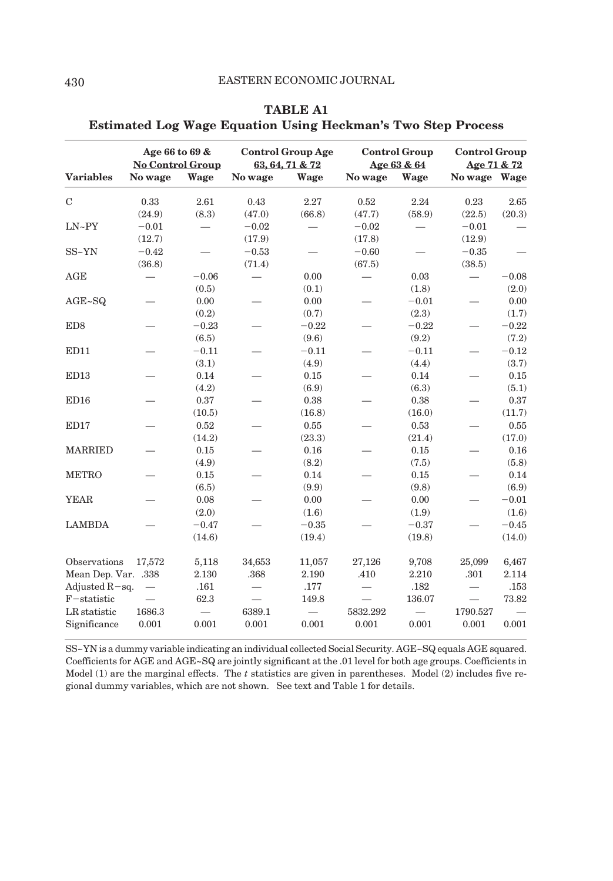|                                     | Age 66 to 69 &<br><b>No Control Group</b> |                   | <b>Control Group Age</b><br>63, 64, 71 & 72 |                                   | <b>Control Group</b><br>Age 63 & 64 |                                   | <b>Control Group</b><br>Age 71 & 72 |                   |
|-------------------------------------|-------------------------------------------|-------------------|---------------------------------------------|-----------------------------------|-------------------------------------|-----------------------------------|-------------------------------------|-------------------|
| <b>Variables</b>                    | No wage                                   | Wage              | No wage                                     | Wage                              | No wage                             | Wage                              | No wage Wage                        |                   |
| $\mathbf C$                         | 0.33<br>(24.9)                            | 2.61<br>(8.3)     | 0.43<br>(47.0)                              | 2.27<br>(66.8)                    | 0.52<br>(47.7)                      | 2.24<br>(58.9)                    | 0.23<br>(22.5)                      | 2.65<br>(20.3)    |
| $LN-PY$                             | $-0.01$<br>(12.7)                         |                   | $-0.02$<br>(17.9)                           |                                   | $-0.02$<br>(17.8)                   |                                   | $-0.01$<br>(12.9)                   |                   |
| SS~YN                               | $-0.42$<br>(36.8)                         |                   | $-0.53$<br>(71.4)                           |                                   | $-0.60$<br>(67.5)                   |                                   | $-0.35$<br>(38.5)                   |                   |
| AGE                                 |                                           | $-0.06$<br>(0.5)  |                                             | 0.00<br>(0.1)                     |                                     | 0.03<br>(1.8)                     | $\overbrace{\phantom{123221111}}$   | $-0.08$<br>(2.0)  |
| $AGE \sim SQ$                       |                                           | 0.00<br>(0.2)     |                                             | 0.00<br>(0.7)                     |                                     | $-0.01$<br>(2.3)                  |                                     | 0.00<br>(1.7)     |
| ED <sub>8</sub>                     |                                           | $-0.23$<br>(6.5)  |                                             | $-0.22$<br>(9.6)                  |                                     | $-0.22$<br>(9.2)                  |                                     | $-0.22$<br>(7.2)  |
| ED11                                |                                           | $-0.11$<br>(3.1)  |                                             | $-0.11$<br>(4.9)                  |                                     | $-0.11$<br>(4.4)                  |                                     | $-0.12$<br>(3.7)  |
| ED13                                |                                           | 0.14<br>(4.2)     |                                             | 0.15<br>(6.9)                     |                                     | 0.14<br>(6.3)                     |                                     | 0.15<br>(5.1)     |
| ED16                                |                                           | 0.37<br>(10.5)    |                                             | $\rm 0.38$<br>(16.8)              |                                     | 0.38<br>(16.0)                    |                                     | 0.37<br>(11.7)    |
| ED17                                |                                           | 0.52<br>(14.2)    |                                             | 0.55<br>(23.3)                    |                                     | 0.53<br>(21.4)                    |                                     | 0.55<br>(17.0)    |
| <b>MARRIED</b>                      |                                           | 0.15<br>(4.9)     |                                             | 0.16<br>(8.2)                     |                                     | 0.15<br>(7.5)                     |                                     | 0.16<br>(5.8)     |
| <b>METRO</b>                        |                                           | 0.15<br>(6.5)     |                                             | 0.14<br>(9.9)                     |                                     | 0.15<br>(9.8)                     |                                     | 0.14<br>(6.9)     |
| <b>YEAR</b>                         |                                           | 0.08<br>(2.0)     |                                             | 0.00<br>(1.6)                     |                                     | 0.00<br>(1.9)                     |                                     | $-0.01$<br>(1.6)  |
| <b>LAMBDA</b>                       |                                           | $-0.47$<br>(14.6) |                                             | $-0.35$<br>(19.4)                 |                                     | $-0.37$<br>(19.8)                 |                                     | $-0.45$<br>(14.0) |
| Observations<br>Mean Dep. Var. .338 | 17,572                                    | 5,118<br>2.130    | 34,653<br>.368                              | 11,057<br>2.190                   | 27,126<br>.410                      | 9,708<br>2.210                    | 25,099<br>.301                      | 6,467<br>2.114    |
| Adjusted $R$ -sq.<br>$F$ -statistic | $\overbrace{\phantom{12322111}}$          | .161<br>62.3      | $\overline{\phantom{0}}$                    | .177<br>149.8                     | $\overline{\phantom{0}}$            | .182<br>136.07                    | $\qquad \qquad$                     | .153<br>73.82     |
| LR statistic<br>Significance        | 1686.3<br>0.001                           | 0.001             | 6389.1<br>0.001                             | $\overline{\phantom{0}}$<br>0.001 | 5832.292<br>0.001                   | $\overline{\phantom{0}}$<br>0.001 | 1790.527<br>0.001                   | 0.001             |

| <b>TABLE A1</b>                                                     |  |
|---------------------------------------------------------------------|--|
| <b>Estimated Log Wage Equation Using Heckman's Two Step Process</b> |  |

SS~YN is a dummy variable indicating an individual collected Social Security. AGE~SQ equals AGE squared. Coefficients for AGE and AGE~SQ are jointly significant at the .01 level for both age groups. Coefficients in Model (1) are the marginal effects. The *t* statistics are given in parentheses. Model (2) includes five regional dummy variables, which are not shown. See text and Table 1 for details.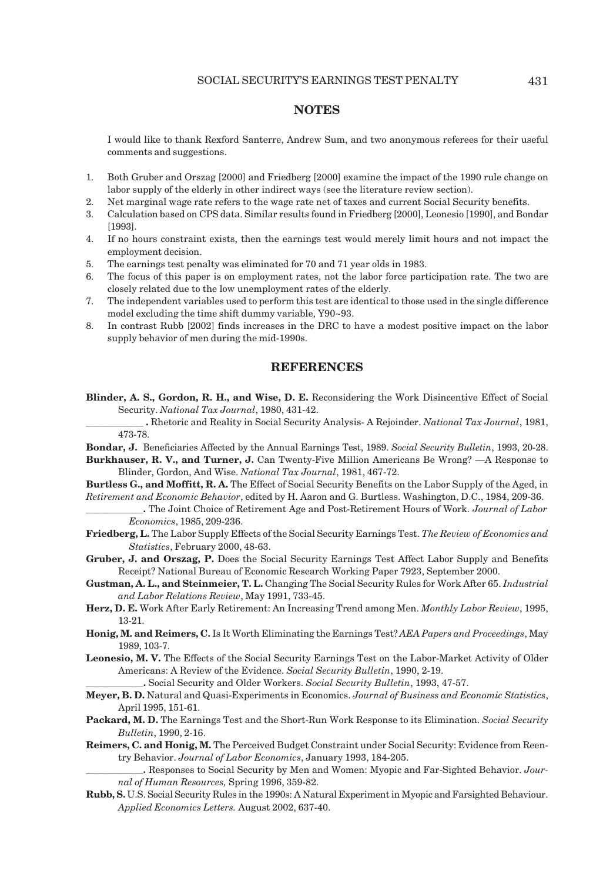## **NOTES**

I would like to thank Rexford Santerre, Andrew Sum, and two anonymous referees for their useful comments and suggestions.

- 1. Both Gruber and Orszag [2000] and Friedberg [2000] examine the impact of the 1990 rule change on labor supply of the elderly in other indirect ways (see the literature review section).
- 2. Net marginal wage rate refers to the wage rate net of taxes and current Social Security benefits.
- 3. Calculation based on CPS data. Similar results found in Friedberg [2000], Leonesio [1990], and Bondar [1993].
- 4. If no hours constraint exists, then the earnings test would merely limit hours and not impact the employment decision.
- 5. The earnings test penalty was eliminated for 70 and 71 year olds in 1983.
- 6. The focus of this paper is on employment rates, not the labor force participation rate. The two are closely related due to the low unemployment rates of the elderly.
- 7. The independent variables used to perform this test are identical to those used in the single difference model excluding the time shift dummy variable, Y90~93.
- 8. In contrast Rubb [2002] finds increases in the DRC to have a modest positive impact on the labor supply behavior of men during the mid-1990s.

#### **REFERENCES**

**Blinder, A. S., Gordon, R. H., and Wise, D. E.** Reconsidering the Work Disincentive Effect of Social Security. *National Tax Journal*, 1980, 431-42.

**\_\_\_\_\_\_\_\_\_\_\_\_ .** Rhetoric and Reality in Social Security Analysis- A Rejoinder. *National Tax Journal*, 1981, 473-78.

- **Bondar, J.** Beneficiaries Affected by the Annual Earnings Test, 1989. *Social Security Bulletin*, 1993, 20-28.
- **Burkhauser, R. V., and Turner, J.** Can Twenty-Five Million Americans Be Wrong? —A Response to Blinder, Gordon, And Wise. *National Tax Journal*, 1981, 467-72.
- **Burtless G., and Moffitt, R. A.** The Effect of Social Security Benefits on the Labor Supply of the Aged, in *Retirement and Economic Behavior*, edited by H. Aaron and G. Burtless. Washington, D.C., 1984, 209-36.
- **\_\_\_\_\_\_\_\_\_\_\_\_.** The Joint Choice of Retirement Age and Post-Retirement Hours of Work. *Journal of Labor Economics*, 1985, 209-236.
- **Friedberg, L.** The Labor Supply Effects of the Social Security Earnings Test. *The Review of Economics and Statistics*, February 2000, 48-63.
- **Gruber, J. and Orszag, P.** Does the Social Security Earnings Test Affect Labor Supply and Benefits Receipt? National Bureau of Economic Research Working Paper 7923, September 2000.
- **Gustman, A. L., and Steinmeier, T. L.** Changing The Social Security Rules for Work After 65. *Industrial and Labor Relations Review*, May 1991, 733-45.
- **Herz, D. E.** Work After Early Retirement: An Increasing Trend among Men. *Monthly Labor Review*, 1995, 13-21.
- **Honig, M. and Reimers, C.** Is It Worth Eliminating the Earnings Test? *AEA Papers and Proceedings*, May 1989, 103-7.
- **Leonesio, M. V.** The Effects of the Social Security Earnings Test on the Labor-Market Activity of Older Americans: A Review of the Evidence. *Social Security Bulletin*, 1990, 2-19.
	- **\_\_\_\_\_\_\_\_\_\_\_\_.** Social Security and Older Workers. *Social Security Bulletin*, 1993, 47-57.
- **Meyer, B. D.** Natural and Quasi-Experiments in Economics. *Journal of Business and Economic Statistics*, April 1995, 151-61.
- **Packard, M. D.** The Earnings Test and the Short-Run Work Response to its Elimination. *Social Security Bulletin*, 1990, 2-16.
- **Reimers, C. and Honig, M.** The Perceived Budget Constraint under Social Security: Evidence from Reentry Behavior. *Journal of Labor Economics*, January 1993, 184-205.

**\_\_\_\_\_\_\_\_\_\_\_\_.** Responses to Social Security by Men and Women: Myopic and Far-Sighted Behavior. *Journal of Human Resources,* Spring 1996, 359-82.

**Rubb, S.** U.S. Social Security Rules in the 1990s: A Natural Experiment in Myopic and Farsighted Behaviour. *Applied Economics Letters.* August 2002, 637-40.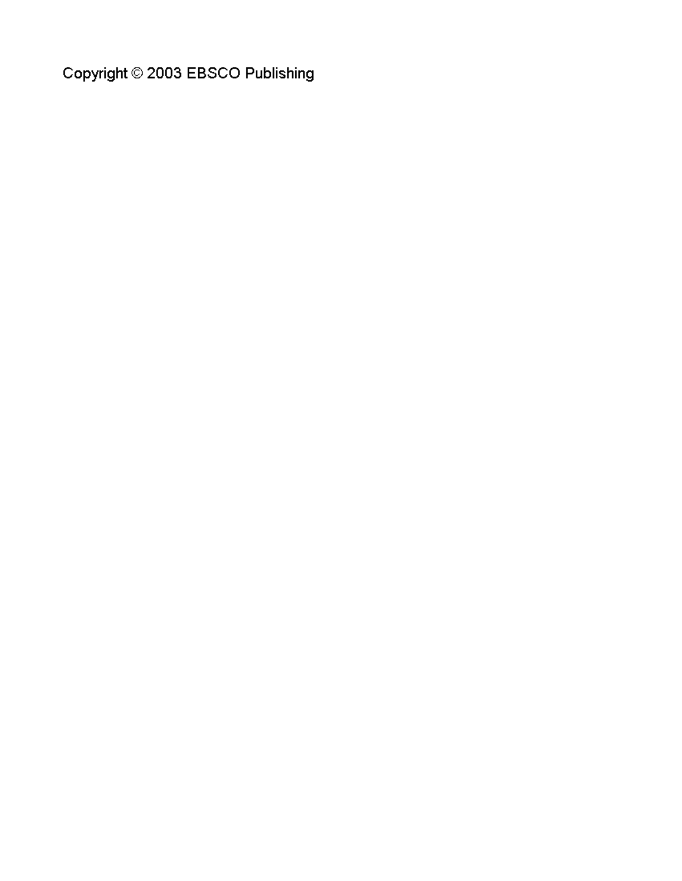Copyright © 2003 EBSCO Publishing